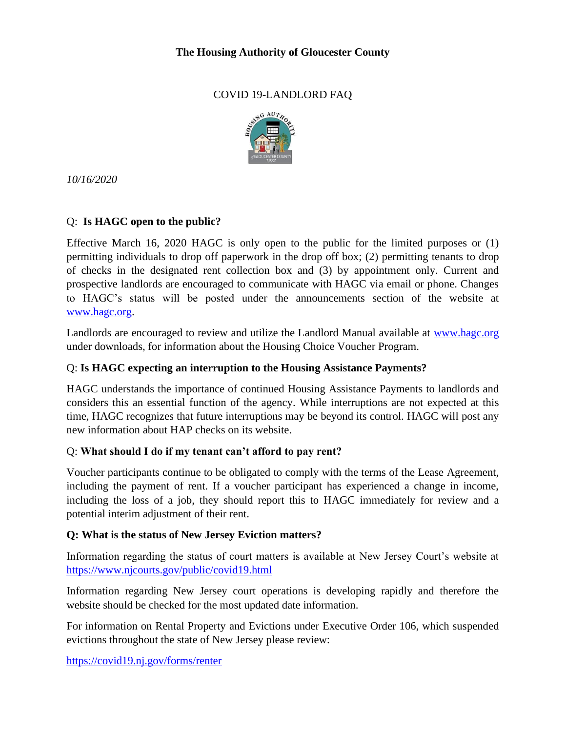## **The Housing Authority of Gloucester County**

# COVID 19-LANDLORD FAQ



*10/16/2020*

# Q: **Is HAGC open to the public?**

Effective March 16, 2020 HAGC is only open to the public for the limited purposes or (1) permitting individuals to drop off paperwork in the drop off box; (2) permitting tenants to drop of checks in the designated rent collection box and (3) by appointment only. Current and prospective landlords are encouraged to communicate with HAGC via email or phone. Changes to HAGC's status will be posted under the announcements section of the website at [www.hagc.org.](http://www.hagc.org/)

Landlords are encouraged to review and utilize the Landlord Manual available at [www.hagc.org](http://www.hagc.org/) under downloads, for information about the Housing Choice Voucher Program.

## Q: **Is HAGC expecting an interruption to the Housing Assistance Payments?**

HAGC understands the importance of continued Housing Assistance Payments to landlords and considers this an essential function of the agency. While interruptions are not expected at this time, HAGC recognizes that future interruptions may be beyond its control. HAGC will post any new information about HAP checks on its website.

## Q: **What should I do if my tenant can't afford to pay rent?**

Voucher participants continue to be obligated to comply with the terms of the Lease Agreement, including the payment of rent. If a voucher participant has experienced a change in income, including the loss of a job, they should report this to HAGC immediately for review and a potential interim adjustment of their rent.

## **Q: What is the status of New Jersey Eviction matters?**

Information regarding the status of court matters is available at New Jersey Court's website at <https://www.njcourts.gov/public/covid19.html>

Information regarding New Jersey court operations is developing rapidly and therefore the website should be checked for the most updated date information.

For information on Rental Property and Evictions under Executive Order 106, which suspended evictions throughout the state of New Jersey please review:

<https://covid19.nj.gov/forms/renter>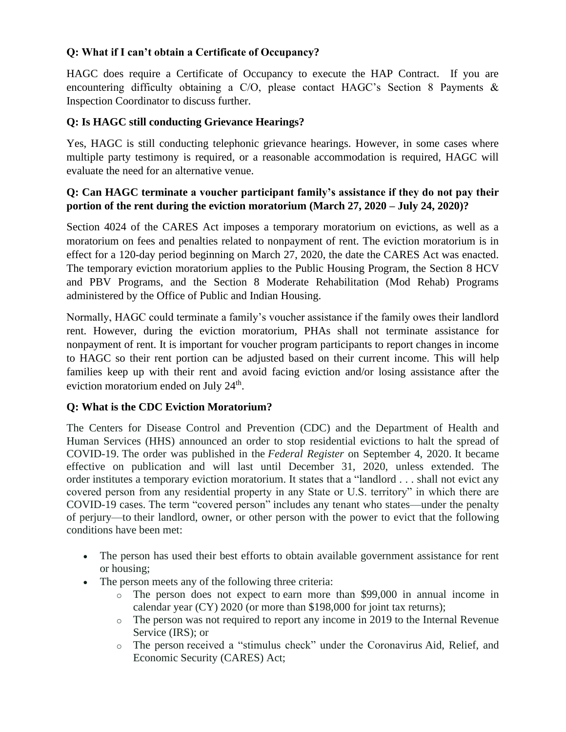## **Q: What if I can't obtain a Certificate of Occupancy?**

HAGC does require a Certificate of Occupancy to execute the HAP Contract. If you are encountering difficulty obtaining a C/O, please contact HAGC's Section 8 Payments & Inspection Coordinator to discuss further.

# **Q: Is HAGC still conducting Grievance Hearings?**

Yes, HAGC is still conducting telephonic grievance hearings. However, in some cases where multiple party testimony is required, or a reasonable accommodation is required, HAGC will evaluate the need for an alternative venue.

## **Q: Can HAGC terminate a voucher participant family's assistance if they do not pay their portion of the rent during the eviction moratorium (March 27, 2020 – July 24, 2020)?**

Section 4024 of the CARES Act imposes a temporary moratorium on evictions, as well as a moratorium on fees and penalties related to nonpayment of rent. The eviction moratorium is in effect for a 120-day period beginning on March 27, 2020, the date the CARES Act was enacted. The temporary eviction moratorium applies to the Public Housing Program, the Section 8 HCV and PBV Programs, and the Section 8 Moderate Rehabilitation (Mod Rehab) Programs administered by the Office of Public and Indian Housing.

Normally, HAGC could terminate a family's voucher assistance if the family owes their landlord rent. However, during the eviction moratorium, PHAs shall not terminate assistance for nonpayment of rent. It is important for voucher program participants to report changes in income to HAGC so their rent portion can be adjusted based on their current income. This will help families keep up with their rent and avoid facing eviction and/or losing assistance after the eviction moratorium ended on July  $24<sup>th</sup>$ .

## **Q: What is the CDC Eviction Moratorium?**

The Centers for Disease Control and Prevention (CDC) and the Department of Health and Human Services (HHS) announced an order to stop residential evictions to halt the spread of COVID-19. The order was published in the *Federal Register* on September 4, 2020. It became effective on publication and will last until December 31, 2020, unless extended. The order institutes a temporary eviction moratorium. It states that a "landlord . . . shall not evict any covered person from any residential property in any State or U.S. territory" in which there are COVID-19 cases. The term "covered person" includes any tenant who states—under the penalty of perjury—to their landlord, owner, or other person with the power to evict that the following conditions have been met:

- The person has used their best efforts to obtain available government assistance for rent or housing;
- The person meets any of the following three criteria:
	- o The person does not expect to earn more than \$99,000 in annual income in calendar year (CY) 2020 (or more than \$198,000 for joint tax returns);
	- o The person was not required to report any income in 2019 to the Internal Revenue Service (IRS); or
	- o The person received a "stimulus check" under the Coronavirus Aid, Relief, and Economic Security (CARES) Act;